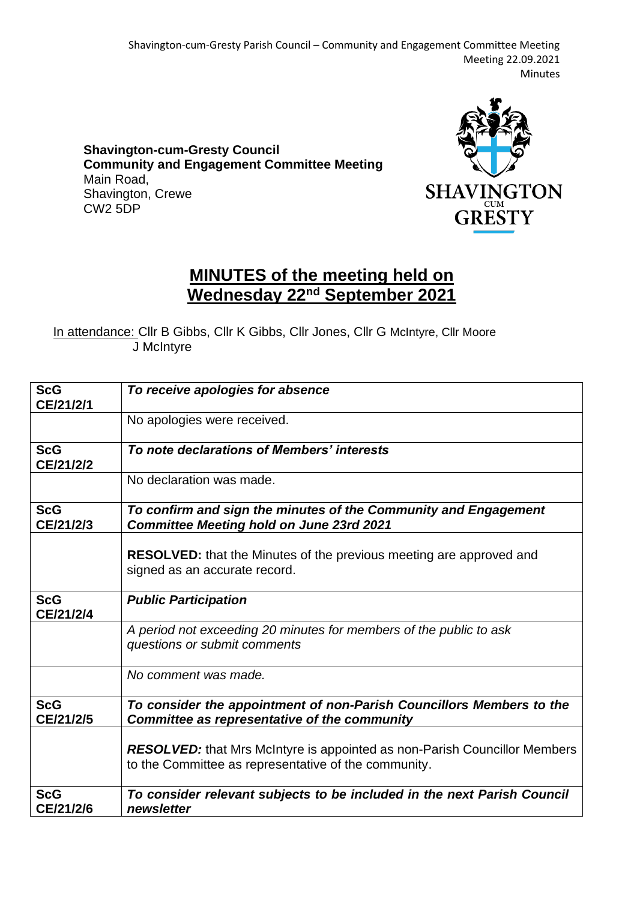Shavington-cum-Gresty Parish Council – Community and Engagement Committee Meeting Meeting 22.09.2021 Minutes

**Shavington-cum-Gresty Council Community and Engagement Committee Meeting** Main Road, Shavington, Crewe CW2 5DP



## **MINUTES of the meeting held on Wednesday 22nd September 2021**

In attendance: Cllr B Gibbs, Cllr K Gibbs, Cllr Jones, Cllr G McIntyre, Cllr Moore J McIntyre

| <b>ScG</b><br>CE/21/2/1 | To receive apologies for absence                                                                                                         |
|-------------------------|------------------------------------------------------------------------------------------------------------------------------------------|
|                         | No apologies were received.                                                                                                              |
| <b>ScG</b><br>CE/21/2/2 | To note declarations of Members' interests                                                                                               |
|                         | No declaration was made.                                                                                                                 |
| <b>ScG</b><br>CE/21/2/3 | To confirm and sign the minutes of the Community and Engagement<br><b>Committee Meeting hold on June 23rd 2021</b>                       |
|                         | <b>RESOLVED:</b> that the Minutes of the previous meeting are approved and<br>signed as an accurate record.                              |
| <b>ScG</b><br>CE/21/2/4 | <b>Public Participation</b>                                                                                                              |
|                         | A period not exceeding 20 minutes for members of the public to ask<br>questions or submit comments                                       |
|                         | No comment was made.                                                                                                                     |
| <b>ScG</b><br>CE/21/2/5 | To consider the appointment of non-Parish Councillors Members to the<br>Committee as representative of the community                     |
|                         | <b>RESOLVED:</b> that Mrs McIntyre is appointed as non-Parish Councillor Members<br>to the Committee as representative of the community. |
| <b>ScG</b><br>CE/21/2/6 | To consider relevant subjects to be included in the next Parish Council<br>newsletter                                                    |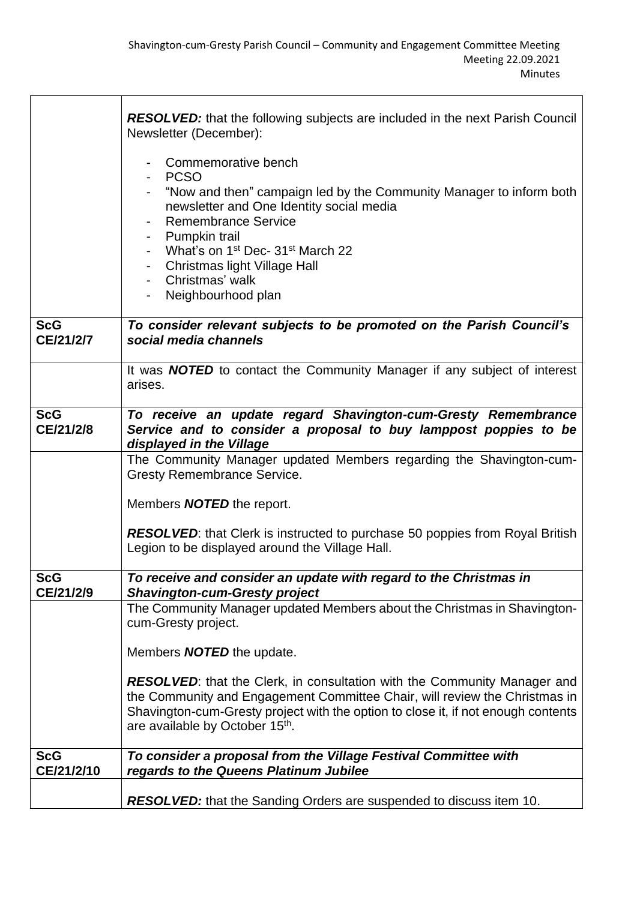|            | <b>RESOLVED:</b> that the following subjects are included in the next Parish Council<br>Newsletter (December):<br>Commemorative bench<br>PCSO<br>"Now and then" campaign led by the Community Manager to inform both<br>newsletter and One Identity social media<br><b>Remembrance Service</b><br>- Pumpkin trail<br>- What's on 1 <sup>st</sup> Dec- 31 <sup>st</sup> March 22<br>- Christmas light Village Hall<br>Christmas' walk<br>$\sim 100$<br>Neighbourhood plan |
|------------|--------------------------------------------------------------------------------------------------------------------------------------------------------------------------------------------------------------------------------------------------------------------------------------------------------------------------------------------------------------------------------------------------------------------------------------------------------------------------|
| <b>ScG</b> | To consider relevant subjects to be promoted on the Parish Council's                                                                                                                                                                                                                                                                                                                                                                                                     |
| CE/21/2/7  | social media channels                                                                                                                                                                                                                                                                                                                                                                                                                                                    |
|            |                                                                                                                                                                                                                                                                                                                                                                                                                                                                          |
|            | It was <b>NOTED</b> to contact the Community Manager if any subject of interest<br>arises.                                                                                                                                                                                                                                                                                                                                                                               |
|            |                                                                                                                                                                                                                                                                                                                                                                                                                                                                          |
| <b>ScG</b> | To receive an update regard Shavington-cum-Gresty Remembrance                                                                                                                                                                                                                                                                                                                                                                                                            |
| CE/21/2/8  | Service and to consider a proposal to buy lamppost poppies to be                                                                                                                                                                                                                                                                                                                                                                                                         |
|            | displayed in the Village                                                                                                                                                                                                                                                                                                                                                                                                                                                 |
|            | The Community Manager updated Members regarding the Shavington-cum-<br><b>Gresty Remembrance Service.</b>                                                                                                                                                                                                                                                                                                                                                                |
|            |                                                                                                                                                                                                                                                                                                                                                                                                                                                                          |
|            | Members <b>NOTED</b> the report.                                                                                                                                                                                                                                                                                                                                                                                                                                         |
|            | <b>RESOLVED:</b> that Clerk is instructed to purchase 50 poppies from Royal British                                                                                                                                                                                                                                                                                                                                                                                      |
|            | Legion to be displayed around the Village Hall.                                                                                                                                                                                                                                                                                                                                                                                                                          |
|            |                                                                                                                                                                                                                                                                                                                                                                                                                                                                          |
| <b>ScG</b> | To receive and consider an update with regard to the Christmas in                                                                                                                                                                                                                                                                                                                                                                                                        |
| CE/21/2/9  | <b>Shavington-cum-Gresty project</b><br>The Community Manager updated Members about the Christmas in Shavington-                                                                                                                                                                                                                                                                                                                                                         |
|            | cum-Gresty project.                                                                                                                                                                                                                                                                                                                                                                                                                                                      |
|            |                                                                                                                                                                                                                                                                                                                                                                                                                                                                          |
|            | Members <b>NOTED</b> the update.                                                                                                                                                                                                                                                                                                                                                                                                                                         |
|            | <b>RESOLVED:</b> that the Clerk, in consultation with the Community Manager and                                                                                                                                                                                                                                                                                                                                                                                          |
|            | the Community and Engagement Committee Chair, will review the Christmas in                                                                                                                                                                                                                                                                                                                                                                                               |
|            | Shavington-cum-Gresty project with the option to close it, if not enough contents<br>are available by October 15th.                                                                                                                                                                                                                                                                                                                                                      |
|            |                                                                                                                                                                                                                                                                                                                                                                                                                                                                          |
| <b>ScG</b> | To consider a proposal from the Village Festival Committee with                                                                                                                                                                                                                                                                                                                                                                                                          |
| CE/21/2/10 | regards to the Queens Platinum Jubilee                                                                                                                                                                                                                                                                                                                                                                                                                                   |
|            |                                                                                                                                                                                                                                                                                                                                                                                                                                                                          |
|            | <b>RESOLVED:</b> that the Sanding Orders are suspended to discuss item 10.                                                                                                                                                                                                                                                                                                                                                                                               |